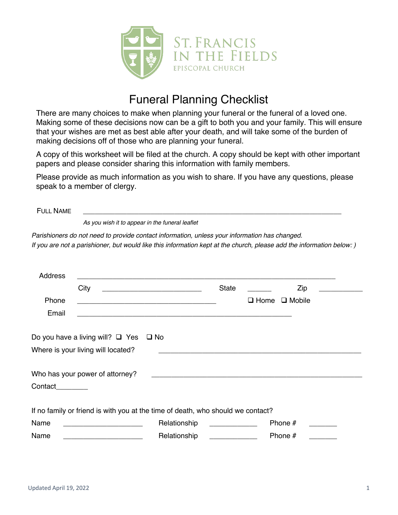

# Funeral Planning Checklist

There are many choices to make when planning your funeral or the funeral of a loved one. Making some of these decisions now can be a gift to both you and your family. This will ensure that your wishes are met as best able after your death, and will take some of the burden of making decisions off of those who are planning your funeral.

A copy of this worksheet will be filed at the church. A copy should be kept with other important papers and please consider sharing this information with family members.

Please provide as much information as you wish to share. If you have any questions, please speak to a member of clergy.

| <b>FULL NAME</b> |                                                                                                                      |                                                                                                                      |              |             |               |  |  |  |
|------------------|----------------------------------------------------------------------------------------------------------------------|----------------------------------------------------------------------------------------------------------------------|--------------|-------------|---------------|--|--|--|
|                  | As you wish it to appear in the funeral leaflet                                                                      |                                                                                                                      |              |             |               |  |  |  |
|                  | Parishioners do not need to provide contact information, unless your information has changed.                        |                                                                                                                      |              |             |               |  |  |  |
|                  | If you are not a parishioner, but would like this information kept at the church, please add the information below:) |                                                                                                                      |              |             |               |  |  |  |
|                  |                                                                                                                      |                                                                                                                      |              |             |               |  |  |  |
| <b>Address</b>   |                                                                                                                      |                                                                                                                      |              |             |               |  |  |  |
|                  | City                                                                                                                 |                                                                                                                      | <b>State</b> |             | Zip           |  |  |  |
| Phone            |                                                                                                                      | <u> 1989 - Johann Barbara, martxa alemaniar argumento estas políticas en la contrada de la contrada de la contra</u> |              | $\Box$ Home | $\Box$ Mobile |  |  |  |
| Email            |                                                                                                                      | <u> 1989 - Johann Stoff, amerikansk politiker (d. 1989)</u>                                                          |              |             |               |  |  |  |
|                  |                                                                                                                      |                                                                                                                      |              |             |               |  |  |  |
|                  | Do you have a living will? $\Box$ Yes                                                                                | $\Box$ No                                                                                                            |              |             |               |  |  |  |
|                  | Where is your living will located?                                                                                   |                                                                                                                      |              |             |               |  |  |  |
|                  |                                                                                                                      |                                                                                                                      |              |             |               |  |  |  |
|                  | Who has your power of attorney?                                                                                      |                                                                                                                      |              |             |               |  |  |  |
| Contact          |                                                                                                                      |                                                                                                                      |              |             |               |  |  |  |
|                  |                                                                                                                      |                                                                                                                      |              |             |               |  |  |  |
|                  | If no family or friend is with you at the time of death, who should we contact?                                      |                                                                                                                      |              |             |               |  |  |  |
| Name             |                                                                                                                      | Relationship                                                                                                         |              |             | Phone #       |  |  |  |
| Name             |                                                                                                                      | Relationship                                                                                                         |              |             | Phone #       |  |  |  |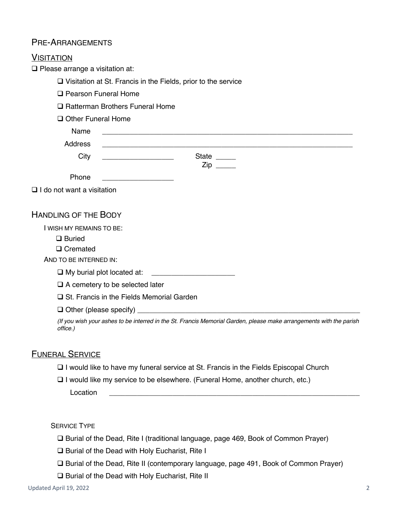# PRE-ARRANGEMENTS

| <b>VISITATION</b>                                                                                                               |  |  |  |  |
|---------------------------------------------------------------------------------------------------------------------------------|--|--|--|--|
| $\Box$ Please arrange a visitation at:                                                                                          |  |  |  |  |
| $\Box$ Visitation at St. Francis in the Fields, prior to the service                                                            |  |  |  |  |
| <b>Q</b> Pearson Funeral Home                                                                                                   |  |  |  |  |
| □ Ratterman Brothers Funeral Home                                                                                               |  |  |  |  |
| Other Funeral Home                                                                                                              |  |  |  |  |
| Name                                                                                                                            |  |  |  |  |
| Address                                                                                                                         |  |  |  |  |
| State _____<br>City<br><u> 1980 - Johann Barbara, martin a</u><br>$Zip \_$                                                      |  |  |  |  |
| Phone                                                                                                                           |  |  |  |  |
| $\Box$ I do not want a visitation                                                                                               |  |  |  |  |
| <b>HANDLING OF THE BODY</b>                                                                                                     |  |  |  |  |
| I WISH MY REMAINS TO BE:                                                                                                        |  |  |  |  |
| $\Box$ Buried                                                                                                                   |  |  |  |  |
| $\Box$ Cremated                                                                                                                 |  |  |  |  |
| AND TO BE INTERNED IN:                                                                                                          |  |  |  |  |
| $\Box$ My burial plot located at:<br><u> 1980 - Jan Samuel Barbara, martin a</u>                                                |  |  |  |  |
| $\Box$ A cemetery to be selected later                                                                                          |  |  |  |  |
| □ St. Francis in the Fields Memorial Garden                                                                                     |  |  |  |  |
|                                                                                                                                 |  |  |  |  |
| (If you wish your ashes to be interred in the St. Francis Memorial Garden, please make arrangements with the parish<br>office.) |  |  |  |  |
|                                                                                                                                 |  |  |  |  |

## FUNERAL SERVICE

- $\Box$  I would like to have my funeral service at St. Francis in the Fields Episcopal Church
- $\Box$  I would like my service to be elsewhere. (Funeral Home, another church, etc.)

Location \_\_\_\_\_\_\_\_\_\_\_\_\_\_\_\_\_\_\_\_\_\_\_\_\_\_\_\_\_\_\_\_\_\_\_\_\_\_\_\_\_\_\_\_\_\_\_\_\_\_\_\_\_\_\_\_\_\_\_\_\_\_\_

SERVICE TYPE

- □ Burial of the Dead, Rite I (traditional language, page 469, Book of Common Prayer)
- $\square$  Burial of the Dead with Holy Eucharist, Rite I
- □ Burial of the Dead, Rite II (contemporary language, page 491, Book of Common Prayer)
- $\square$  Burial of the Dead with Holy Eucharist, Rite II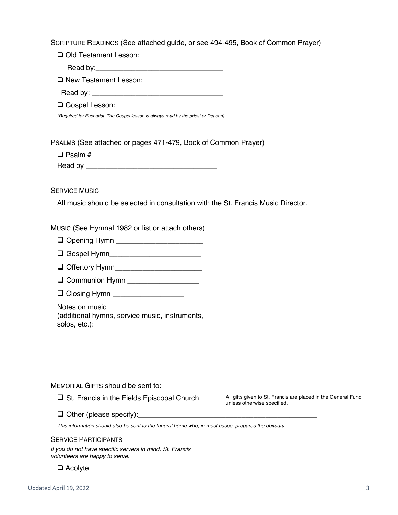SCRIPTURE READINGS (See attached guide, or see 494-495, Book of Common Prayer)

□ Old Testament Lesson:

Read by:

**Q New Testament Lesson:** 

Read by:

 $\Box$  Gospel Lesson:

*(Required for Eucharist. The Gospel lesson is always read by the priest or Deacon)*

PSALMS (See attached or pages 471-479, Book of Common Prayer)

 $\Box$  Psalm # Read by \_\_\_\_\_\_\_\_\_\_\_\_\_\_\_\_\_\_\_\_\_\_\_\_\_\_\_\_\_\_\_\_\_

SERVICE MUSIC

All music should be selected in consultation with the St. Francis Music Director.

MUSIC (See Hymnal 1982 or list or attach others)

q Opening Hymn \_\_\_\_\_\_\_\_\_\_\_\_\_\_\_\_\_\_\_\_\_\_

- q Gospel Hymn\_\_\_\_\_\_\_\_\_\_\_\_\_\_\_\_\_\_\_\_\_\_\_
- q Offertory Hymn\_\_\_\_\_\_\_\_\_\_\_\_\_\_\_\_\_\_\_\_\_\_
- **Q** Communion Hymn \_\_\_\_\_\_\_\_\_\_\_\_\_\_\_\_\_\_\_
- $\Box$  Closing Hymn

Notes on music (additional hymns, service music, instruments, solos, etc.):

MEMORIAL GIFTS should be sent to:

**Q St. Francis in the Fields Episcopal Church** All gifts given to St. Francis are placed in the General Fund unless otherwise specified.

q Other (please specify):\_\_\_\_\_\_\_\_\_\_\_\_\_\_\_\_\_\_\_\_\_\_\_\_\_\_\_\_\_\_\_\_\_\_\_\_\_\_\_\_\_\_\_\_\_

*This information should also be sent to the funeral home who, in most cases, prepares the obituary.*

#### SERVICE PARTICIPANTS

*if you do not have specific servers in mind, St. Francis volunteers are happy to serve.*

 $\Box$  Acolyte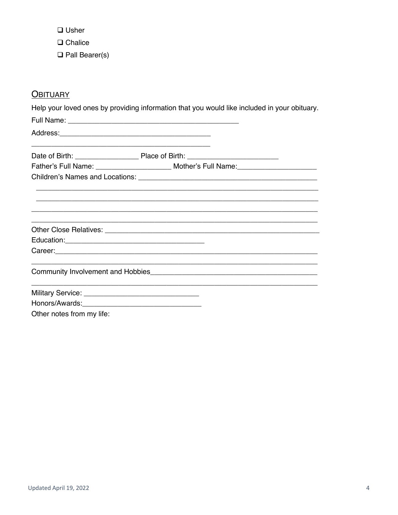$\Box$  Usher

 $\Box$  Chalice

 $\Box$  Pall Bearer(s)

# **OBITUARY**

Help your loved ones by providing information that you would like included in your obituary.

|                           | <u> 1989 - Johann John Stone, meny ambany amin'ny fivondronan-kaominin'i Paris (no ben'ny faritr'i Amerika dia K</u> |  |
|---------------------------|----------------------------------------------------------------------------------------------------------------------|--|
|                           | Father's Full Name: ___________________________ Mother's Full Name: ________________________________                 |  |
|                           |                                                                                                                      |  |
|                           |                                                                                                                      |  |
|                           |                                                                                                                      |  |
|                           |                                                                                                                      |  |
|                           |                                                                                                                      |  |
|                           |                                                                                                                      |  |
|                           |                                                                                                                      |  |
|                           |                                                                                                                      |  |
|                           | <u> 1989 - John Harry Harry Harry Harry Harry Harry Harry Harry Harry Harry Harry Harry Harry Harry Harry Harry</u>  |  |
|                           |                                                                                                                      |  |
| Other notes from my life: |                                                                                                                      |  |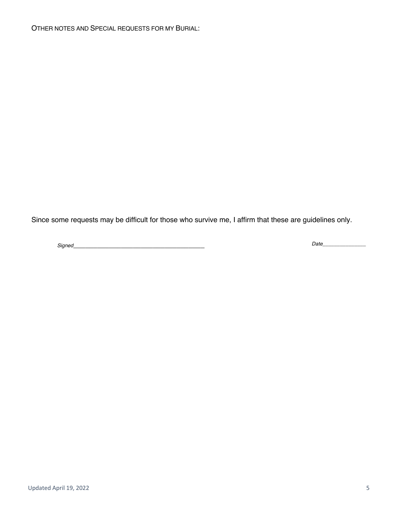Since some requests may be difficult for those who survive me, I affirm that these are guidelines only.

*Signed*\_\_\_\_\_\_\_\_\_\_\_\_\_\_\_\_\_\_\_\_\_\_\_\_\_\_\_\_\_\_\_\_\_ *Date\_\_\_\_\_\_\_\_\_\_\_\_\_\_\_*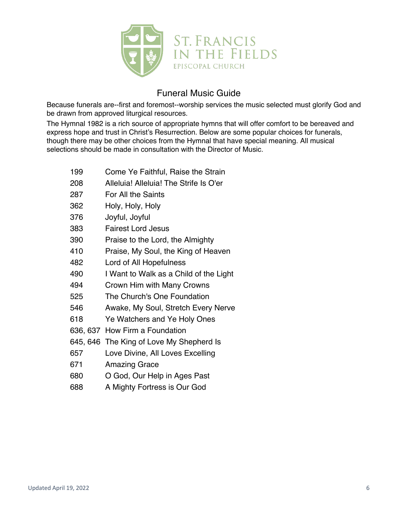

# Funeral Music Guide

Because funerals are--first and foremost--worship services the music selected must glorify God and be drawn from approved liturgical resources.

The Hymnal 1982 is a rich source of appropriate hymns that will offer comfort to be bereaved and express hope and trust in Christ's Resurrection. Below are some popular choices for funerals, though there may be other choices from the Hymnal that have special meaning. All musical selections should be made in consultation with the Director of Music.

- Come Ye Faithful, Raise the Strain
- Alleluia! Alleluia! The Strife Is O'er
- For All the Saints
- Holy, Holy, Holy
- Joyful, Joyful
- Fairest Lord Jesus
- Praise to the Lord, the Almighty
- Praise, My Soul, the King of Heaven
- Lord of All Hopefulness
- I Want to Walk as a Child of the Light
- Crown Him with Many Crowns
- The Church's One Foundation
- Awake, My Soul, Stretch Every Nerve
- Ye Watchers and Ye Holy Ones
- 636, 637 How Firm a Foundation
- 645, 646 The King of Love My Shepherd Is
- Love Divine, All Loves Excelling
- Amazing Grace
- O God, Our Help in Ages Past
- A Mighty Fortress is Our God